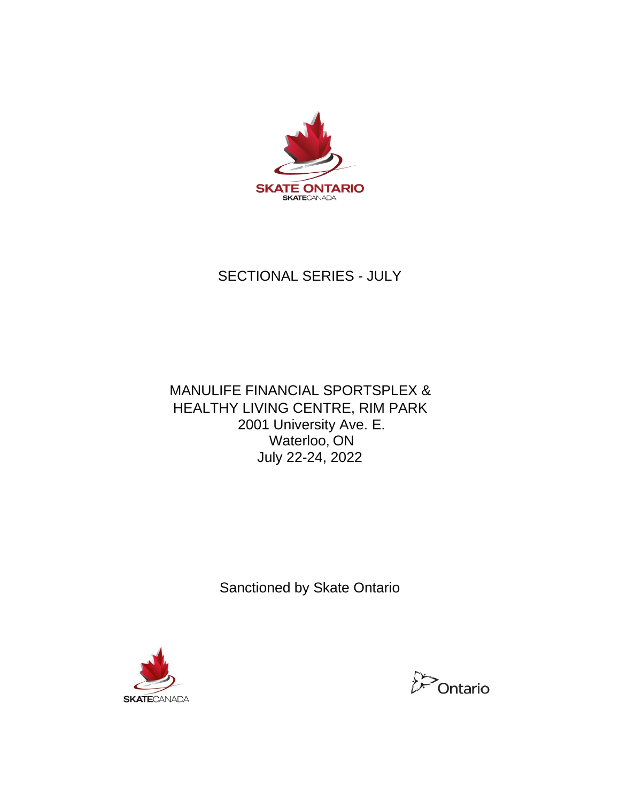

# SECTIONAL SERIES - JULY

# MANULIFE FINANCIAL SPORTSPLEX & HEALTHY LIVING CENTRE, RIM PARK 2001 University Ave. E. Waterloo, ON July 22-24, 2022

Sanctioned by Skate Ontario



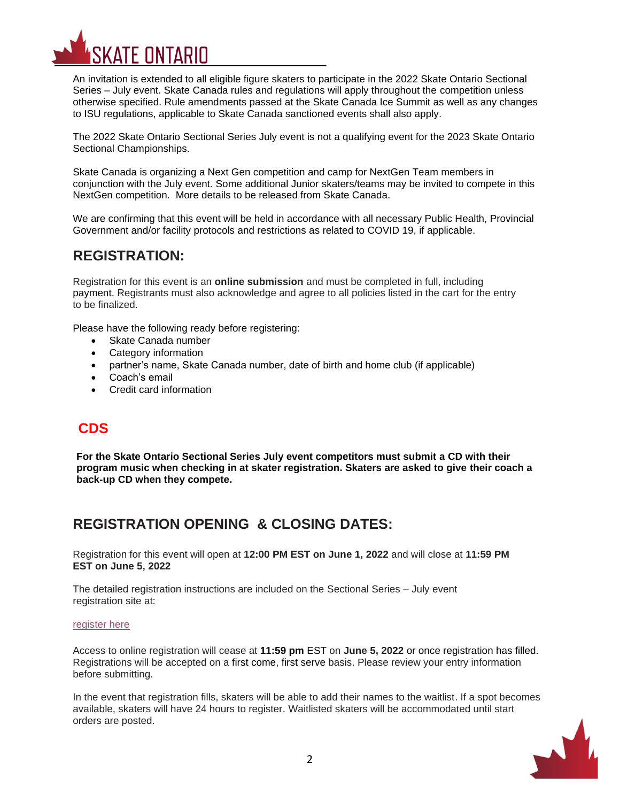

An invitation is extended to all eligible figure skaters to participate in the 2022 Skate Ontario Sectional Series – July event. Skate Canada rules and regulations will apply throughout the competition unless otherwise specified. Rule amendments passed at the Skate Canada Ice Summit as well as any changes to ISU regulations, applicable to Skate Canada sanctioned events shall also apply.

The 2022 Skate Ontario Sectional Series July event is not a qualifying event for the 2023 Skate Ontario Sectional Championships.

Skate Canada is organizing a Next Gen competition and camp for NextGen Team members in conjunction with the July event. Some additional Junior skaters/teams may be invited to compete in this NextGen competition. More details to be released from Skate Canada.

We are confirming that this event will be held in accordance with all necessary Public Health, Provincial Government and/or facility protocols and restrictions as related to COVID 19, if applicable.

## **REGISTRATION:**

Registration for this event is an **online submission** and must be completed in full, including payment. Registrants must also acknowledge and agree to all policies listed in the cart for the entry to be finalized.

Please have the following ready before registering:

- Skate Canada number
- Category information
- partner's name, Skate Canada number, date of birth and home club (if applicable)
- Coach's email
- Credit card information

### **CDS**

**For the Skate Ontario Sectional Series July event competitors must submit a CD with their program music when checking in at skater registration. Skaters are asked to give their coach a back-up CD when they compete.**

## **REGISTRATION OPENING & CLOSING DATES:**

Registration for this event will open at **12:00 PM EST on June 1, 2022** and will close at **11:59 PM EST on June 5, 2022**

The detailed registration instructions are included on the Sectional Series – July event registration site at:

#### [register here](https://registration.skateontario.org/pages/Events-2022-2023/Sectional-Series-July/?sort=start_date)

Access to online registration will cease at **11:59 pm** EST on **June 5, 2022** or once registration has filled. Registrations will be accepted on a first come, first serve basis. Please review your entry information before submitting.

In the event that registration fills, skaters will be able to add their names to the waitlist. If a spot becomes available, skaters will have 24 hours to register. Waitlisted skaters will be accommodated until start orders are posted.

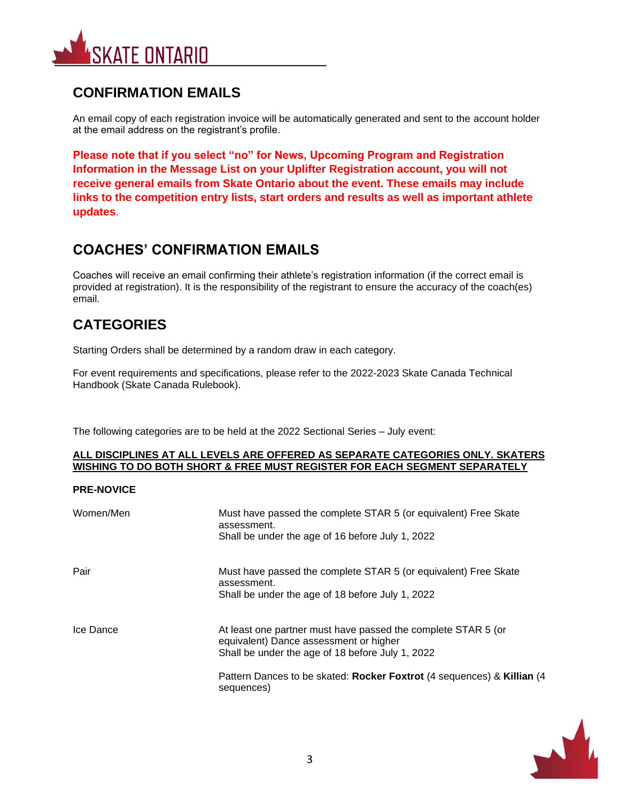

# **CONFIRMATION EMAILS**

An email copy of each registration invoice will be automatically generated and sent to the account holder at the email address on the registrant's profile.

**Please note that if you select "no" for News, Upcoming Program and Registration Information in the Message List on your Uplifter Registration account, you will not receive general emails from Skate Ontario about the event. These emails may include links to the competition entry lists, start orders and results as well as important athlete updates**.

# **COACHES' CONFIRMATION EMAILS**

Coaches will receive an email confirming their athlete's registration information (if the correct email is provided at registration). It is the responsibility of the registrant to ensure the accuracy of the coach(es) email.

# **CATEGORIES**

Starting Orders shall be determined by a random draw in each category.

For event requirements and specifications, please refer to the 2022-2023 Skate Canada Technical Handbook (Skate Canada Rulebook).

The following categories are to be held at the 2022 Sectional Series – July event:

#### **ALL DISCIPLINES AT ALL LEVELS ARE OFFERED AS SEPARATE CATEGORIES ONLY. SKATERS WISHING TO DO BOTH SHORT & FREE MUST REGISTER FOR EACH SEGMENT SEPARATELY**

### **PRE-NOVICE**

| Women/Men | Must have passed the complete STAR 5 (or equivalent) Free Skate<br>assessment.<br>Shall be under the age of 16 before July 1, 2022                          |
|-----------|-------------------------------------------------------------------------------------------------------------------------------------------------------------|
| Pair      | Must have passed the complete STAR 5 (or equivalent) Free Skate<br>assessment.<br>Shall be under the age of 18 before July 1, 2022                          |
| Ice Dance | At least one partner must have passed the complete STAR 5 (or<br>equivalent) Dance assessment or higher<br>Shall be under the age of 18 before July 1, 2022 |
|           | Pattern Dances to be skated: Rocker Foxtrot (4 sequences) & Killian (4<br>sequences)                                                                        |

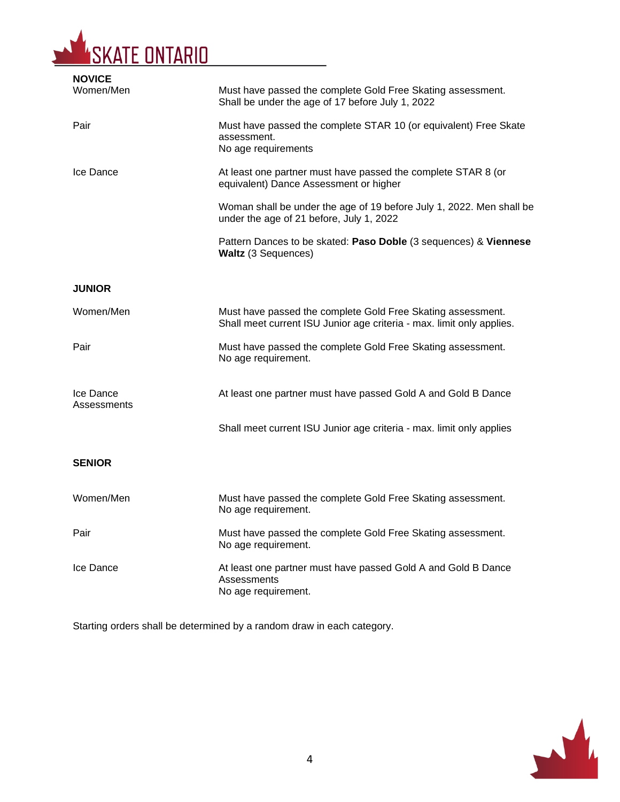

| <b>NOVICE</b>            |                                                                                                                                      |
|--------------------------|--------------------------------------------------------------------------------------------------------------------------------------|
| Women/Men                | Must have passed the complete Gold Free Skating assessment.<br>Shall be under the age of 17 before July 1, 2022                      |
| Pair                     | Must have passed the complete STAR 10 (or equivalent) Free Skate<br>assessment.<br>No age requirements                               |
| Ice Dance                | At least one partner must have passed the complete STAR 8 (or<br>equivalent) Dance Assessment or higher                              |
|                          | Woman shall be under the age of 19 before July 1, 2022. Men shall be<br>under the age of 21 before, July 1, 2022                     |
|                          | Pattern Dances to be skated: Paso Doble (3 sequences) & Viennese<br>Waltz (3 Sequences)                                              |
| <b>JUNIOR</b>            |                                                                                                                                      |
| Women/Men                | Must have passed the complete Gold Free Skating assessment.<br>Shall meet current ISU Junior age criteria - max. limit only applies. |
| Pair                     | Must have passed the complete Gold Free Skating assessment.<br>No age requirement.                                                   |
| Ice Dance<br>Assessments | At least one partner must have passed Gold A and Gold B Dance                                                                        |
|                          | Shall meet current ISU Junior age criteria - max. limit only applies                                                                 |
| <b>SENIOR</b>            |                                                                                                                                      |
| Women/Men                | Must have passed the complete Gold Free Skating assessment.<br>No age requirement.                                                   |
| Pair                     | Must have passed the complete Gold Free Skating assessment.<br>No age requirement.                                                   |
| Ice Dance                | At least one partner must have passed Gold A and Gold B Dance<br>Assessments<br>No age requirement.                                  |

Starting orders shall be determined by a random draw in each category.

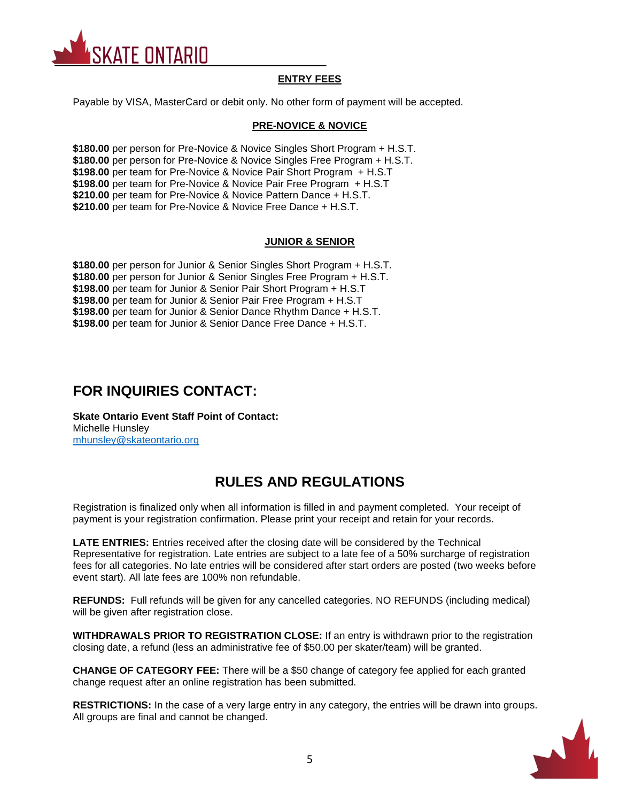

### **ENTRY FEES**

Payable by VISA, MasterCard or debit only. No other form of payment will be accepted.

### **PRE-NOVICE & NOVICE**

**\$180.00** per person for Pre-Novice & Novice Singles Short Program + H.S.T. **\$180.00** per person for Pre-Novice & Novice Singles Free Program + H.S.T. **\$198.00** per team for Pre-Novice & Novice Pair Short Program + H.S.T **\$198.00** per team for Pre-Novice & Novice Pair Free Program + H.S.T **\$210.00** per team for Pre-Novice & Novice Pattern Dance + H.S.T. **\$210.00** per team for Pre-Novice & Novice Free Dance + H.S.T.

### **JUNIOR & SENIOR**

**\$180.00** per person for Junior & Senior Singles Short Program + H.S.T. **\$180.00** per person for Junior & Senior Singles Free Program + H.S.T. **\$198.00** per team for Junior & Senior Pair Short Program + H.S.T **\$198.00** per team for Junior & Senior Pair Free Program + H.S.T **\$198.00** per team for Junior & Senior Dance Rhythm Dance + H.S.T. **\$198.00** per team for Junior & Senior Dance Free Dance + H.S.T.

### **FOR INQUIRIES CONTACT:**

**Skate Ontario Event Staff Point of Contact:** Michelle Hunsley [mhunsley@skateontario.org](mailto:mhunsley@skateontario.org)

## **RULES AND REGULATIONS**

Registration is finalized only when all information is filled in and payment completed. Your receipt of payment is your registration confirmation. Please print your receipt and retain for your records.

**LATE ENTRIES:** Entries received after the closing date will be considered by the Technical Representative for registration. Late entries are subject to a late fee of a 50% surcharge of registration fees for all categories. No late entries will be considered after start orders are posted (two weeks before event start). All late fees are 100% non refundable.

**REFUNDS:** Full refunds will be given for any cancelled categories. NO REFUNDS (including medical) will be given after registration close.

**WITHDRAWALS PRIOR TO REGISTRATION CLOSE:** If an entry is withdrawn prior to the registration closing date, a refund (less an administrative fee of \$50.00 per skater/team) will be granted.

**CHANGE OF CATEGORY FEE:** There will be a \$50 change of category fee applied for each granted change request after an online registration has been submitted.

**RESTRICTIONS:** In the case of a very large entry in any category, the entries will be drawn into groups. All groups are final and cannot be changed.